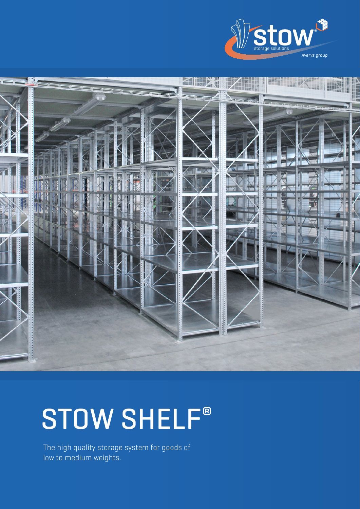



# STOW SHELF®

The high quality storage system for goods of low to medium weights.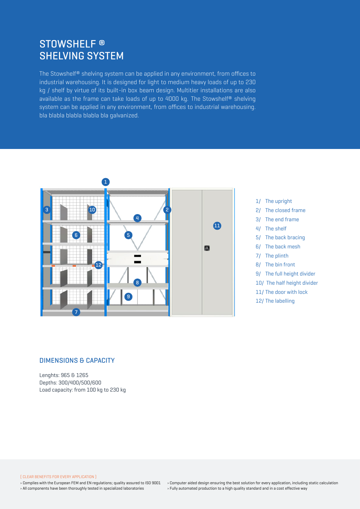# stowshelf ® shelving system

The Stowshelf® shelving system can be applied in any environment, from offices to industrial warehousing. It is designed for light to medium heavy loads of up to 230 kg / shelf by virtue of its built-in box beam design. Multitier installations are also available as the frame can take loads of up to 4000 kg. The Stowshelf® shelving system can be applied in any environment, from offices to industrial warehousing. bla blabla blabla blabla bla galvanized.



- 1/ The upright 2/ The closed frame 3/ The end frame 4/ The shelf 5/ The back bracing 6/ The back mesh 7/ The plinth 8/ The bin front 9/ The full height divider
- 10/ The half height divider
- 11/ The door with lock
- 12/ The labelling

#### dimensions & capacity

Lenghts: 965 & 1265 Depths: 300/400/500/600 Load capacity: from 100 kg to 230 kg

( Clear benefits for every application )

› Complies with the European FEM and EN regulations; quality assured to ISO 9001 › All components have been thoroughly tested in specialized laboratories

› Computer aided design ensuring the best solution for every application, including static calculation › Fully automated production to a high quality standard and in a cost effective way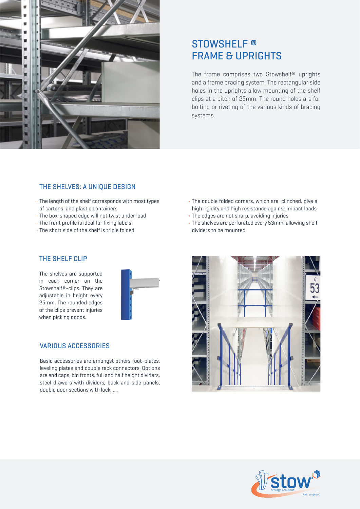

# STOWSHELF<sup>®</sup> **FRAME & UPRIGHTS**

The frame comprises two Stowshelf® uprights and a frame bracing system. The rectangular side holes in the uprights allow mounting of the shelf clips at a pitch of 25mm. The round holes are for bolting or riveting of the various kinds of bracing systems.

#### The shelves: a unique design

- The length of the shelf corresponds with most types of cartons and plastic containers
- The box-shaped edge will not twist under load
- The front profile is ideal for fixing labels
- The short side of the shelf is triple folded
- The double folded corners, which are clinched, give a high rigidity and high resistance against impact loads
- The edges are not sharp, avoiding injuries
- The shelves are perforated every 53mm, allowing shelf dividers to be mounted

### The shelF clip

The shelves are supported in each corner on the Stowshelf®-clips. They are adjustable in height every 25mm. The rounded edges of the clips prevent injuries when picking goods.



#### various accessories

Basic accessories are amongst others foot-plates, leveling plates and double rack connectors. Options are end caps, bin fronts, full and half height dividers, steel drawers with dividers, back and side panels, double door sections with lock, ....